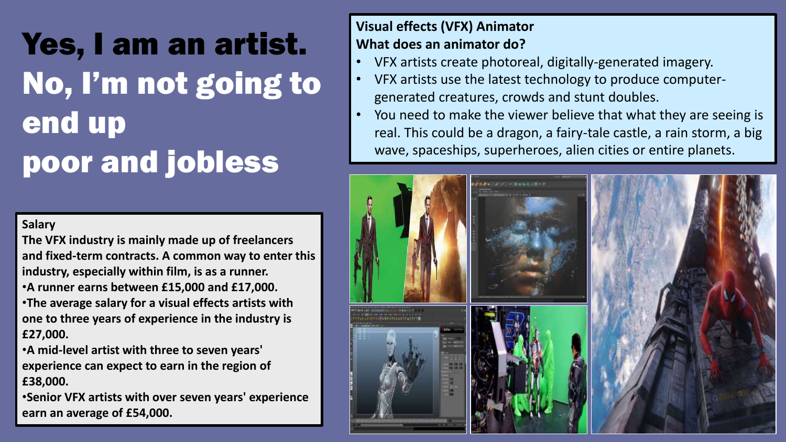# Yes, I am an artist. No, I'm not going to end up poor and jobless

#### **Salary**

**The VFX industry is mainly made up of freelancers and fixed-term contracts. A common way to enter this industry, especially within film, is as a runner.** •**A runner earns between £15,000 and £17,000.**  •**The average salary for a visual effects artists with one to three years of experience in the industry is £27,000.**

•**A mid-level artist with three to seven years' experience can expect to earn in the region of £38,000.**

•**Senior VFX artists with over seven years' experience earn an average of £54,000.**

### **Visual effects (VFX) Animator What does an animator do?**

- VFX artists create photoreal, digitally-generated imagery.
- VFX artists use the latest technology to produce computergenerated creatures, crowds and stunt doubles.
- You need to make the viewer believe that what they are seeing is real. This could be a dragon, a fairy-tale castle, a rain storm, a big wave, spaceships, superheroes, alien cities or entire planets.

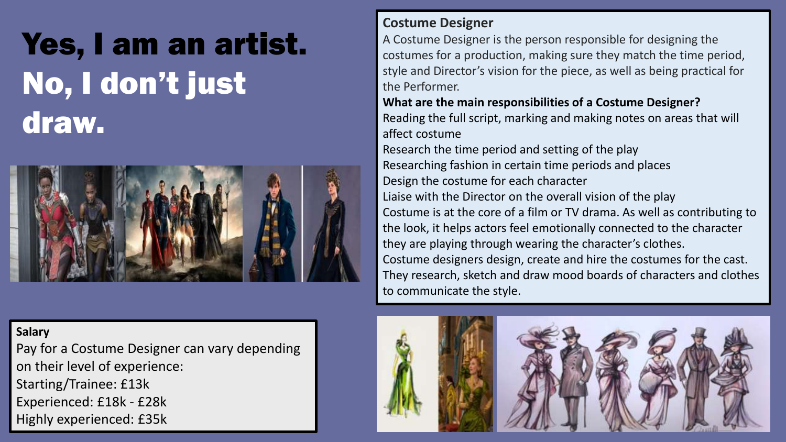

#### **Salary**

Pay for a Costume Designer can vary depending on their level of experience: Starting/Trainee: £13k Experienced: £18k - £28k Highly experienced: £35k

#### **Costume Designer**

A Costume Designer is the person responsible for designing the costumes for a production, making sure they match the time period, style and Director's vision for the piece, as well as being practical for the Performer.

#### **What are the main responsibilities of a Costume Designer?**  Reading the full script, marking and making notes on areas that will affect costume

Research the time period and setting of the play Researching fashion in certain time periods and places Design the costume for each character Liaise with the Director on the overall vision of the play Costume is at the core of a film or TV drama. As well as contributing to the look, it helps actors feel emotionally connected to the character they are playing through wearing the character's clothes. Costume designers design, create and hire the costumes for the cast. They research, sketch and draw mood boards of characters and clothes to communicate the style.

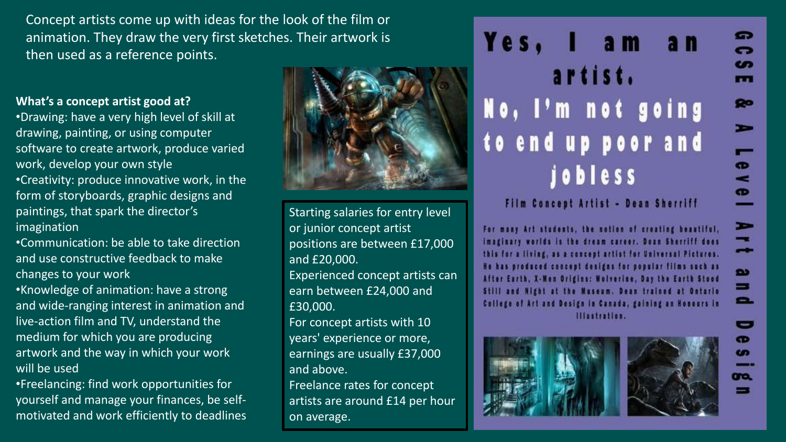Concept artists come up with ideas for the look of the film or animation. They draw the very first sketches. Their artwork is then used as a reference points.

#### **What's a concept artist good at?**

•Drawing: have a very high level of skill at drawing, painting, or using computer software to create artwork, produce varied work, develop your own style •Creativity: produce innovative work, in the form of storyboards, graphic designs and paintings, that spark the director's imagination

•Communication: be able to take direction and use constructive feedback to make changes to your work

•Knowledge of animation: have a strong and wide-ranging interest in animation and live-action film and TV, understand the medium for which you are producing artwork and the way in which your work will be used

•Freelancing: find work opportunities for yourself and manage your finances, be selfmotivated and work efficiently to deadlines



Starting salaries for entry level or junior concept artist positions are between £17,000 and £20,000. Experienced concept artists can earn between £24,000 and £30,000. For concept artists with 10

years' experience or more, earnings are usually £37,000 and above.

Freelance rates for concept artists are around £14 per hour on average.

Yes. am a n artist. No, I'm not going to end up poor and jobless

Film Concept Artist - Dean Sherriff

For many Art students, the notion of creating beautiful, imaginary worlds is the dream career. Dean Sherriff does this for a living, as a concept artist for Universal Pictures. He has produced concept designs for popular films such as After Earth, X-Men Origins: Wolverine, Day the Earth Stood Still and Night at the Museum. Dean trained at Ontario College of Art and Design in Canada, gaining an Honours in Illustration.



G

œ

m

 $\bullet$ 

 $\sim$ 

 $\bullet$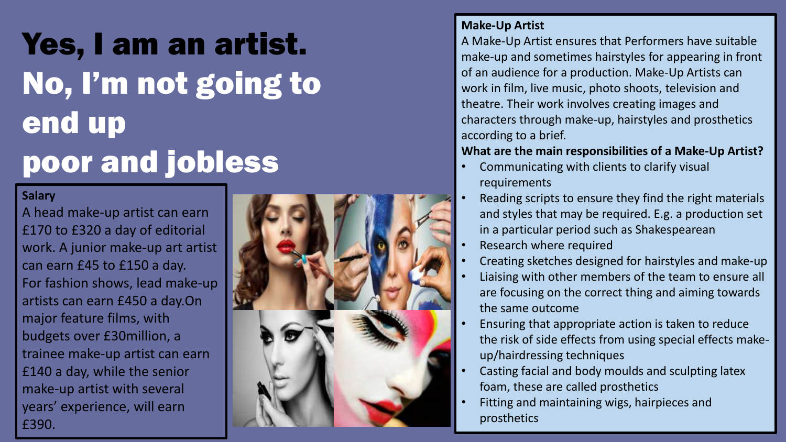# Yes, I am an artist. No, I'm not going to end up poor and jobless

#### **Salary**

A head make-up artist can earn £170 to £320 a day of editorial work. A junior make-up art artist can earn £45 to £150 a day. For fashion shows, lead make-up artists can earn £450 a day.On major feature films, with budgets over £30million, a trainee make-up artist can earn £140 a day, while the senior make-up artist with several years' experience, will earn £390.



#### **Make-Up Artist**

A Make-Up Artist ensures that Performers have suitable make-up and sometimes hairstyles for appearing in front of an audience for a production. Make-Up Artists can work in film, live music, photo shoots, television and theatre. Their work involves creating images and characters through make-up, hairstyles and prosthetics according to a brief.

#### **What are the main responsibilities of a Make-Up Artist?**

- Communicating with clients to clarify visual requirements
- Reading scripts to ensure they find the right materials and styles that may be required. E.g. a production set in a particular period such as Shakespearean
- Research where required
- Creating sketches designed for hairstyles and make-up
- Liaising with other members of the team to ensure all are focusing on the correct thing and aiming towards the same outcome
- Ensuring that appropriate action is taken to reduce the risk of side effects from using special effects makeup/hairdressing techniques
- Casting facial and body moulds and sculpting latex foam, these are called prosthetics
- Fitting and maintaining wigs, hairpieces and prosthetics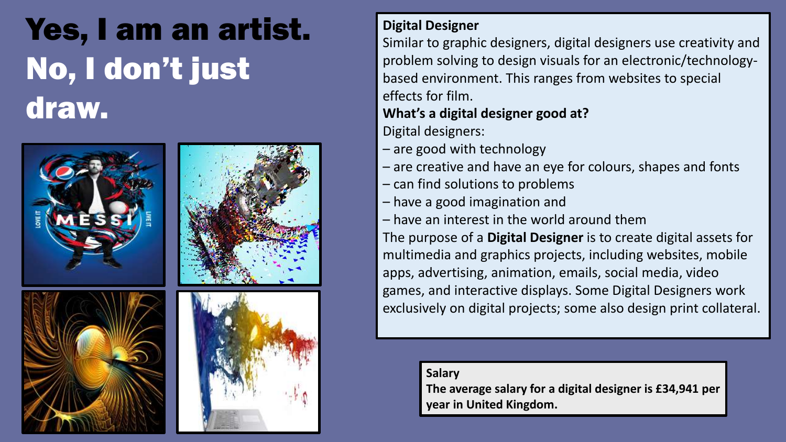

### **Digital Designer**

Similar to graphic designers, digital designers use creativity and problem solving to design visuals for an electronic/technologybased environment. This ranges from websites to special effects for film.

### **What's a digital designer good at?**

Digital designers:

- are good with technology
- are creative and have an eye for colours, shapes and fonts
- can find solutions to problems
- have a good imagination and
- have an interest in the world around them

The purpose of a **Digital Designer** is to create digital assets for multimedia and graphics projects, including websites, mobile apps, advertising, animation, emails, social media, video games, and interactive displays. Some Digital Designers work exclusively on digital projects; some also design print collateral.

**Salary**

**The average salary for a digital designer is £34,941 per year in United Kingdom.**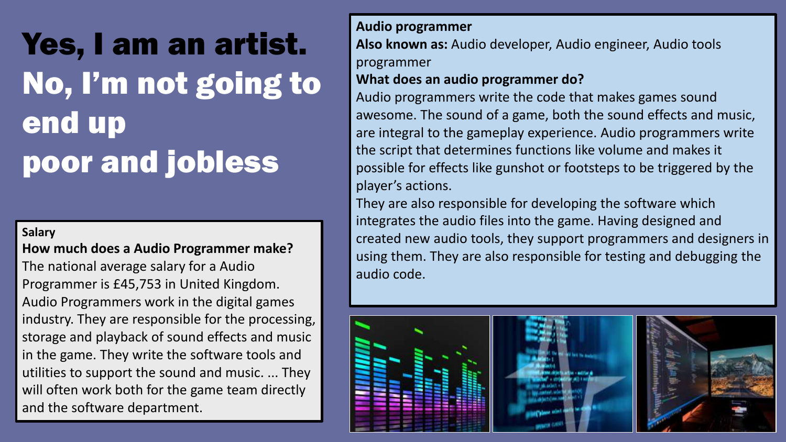# Yes, I am an artist. No, I'm not going to end up poor and jobless

#### **Salary**

#### **How much does a Audio Programmer make?**

The national average salary for a Audio Programmer is £45,753 in United Kingdom. Audio Programmers work in the digital games industry. They are responsible for the processing, storage and playback of sound effects and music in the game. They write the software tools and utilities to support the sound and music. ... They will often work both for the game team directly and the software department.

#### **Audio programmer**

**Also known as:** Audio developer, Audio engineer, Audio tools programmer

#### **What does an audio programmer do?**

Audio programmers write the code that makes games sound awesome. The sound of a game, both the sound effects and music, are integral to the gameplay experience. Audio programmers write the script that determines functions like volume and makes it possible for effects like gunshot or footsteps to be triggered by the player's actions.

They are also responsible for developing the software which integrates the audio files into the game. Having designed and created new audio tools, they support programmers and designers in using them. They are also responsible for testing and debugging the audio code.

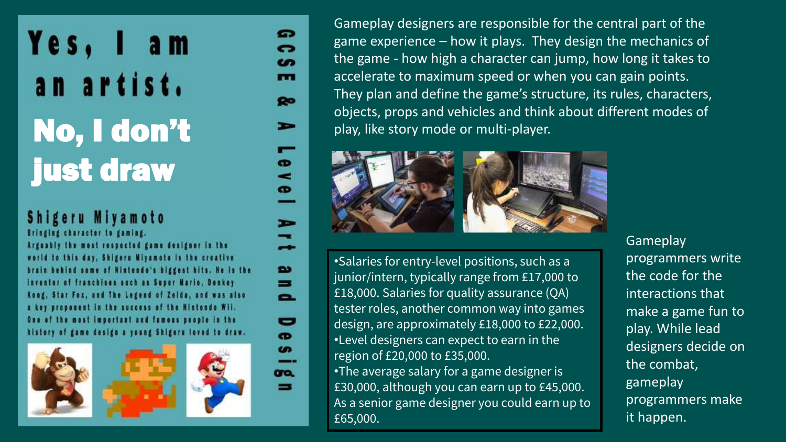### Shigeru Miyamoto

Bringing character to gaming.

Arguably the most respected game designer in the world to this day, Shigeru Miyamoto is the creative brain behind some of Nintendo's biggest hits. He is the Inventor of franchises such as Super Mario, Donkey Kong, Star Fox, and The Legend of Zelda, and was also a key proponent in the success of the Nintendo Wii. One of the most important and famous people in the history of game design a young Shigeru loved to draw.







=

Gameplay designers are responsible for the central part of the game experience – how it plays. They design the mechanics of the game - how high a character can jump, how long it takes to accelerate to maximum speed or when you can gain points. They plan and define the game's structure, its rules, characters, objects, props and vehicles and think about different modes of play, like story mode or multi-player.



•Salaries for entry-level positions, such as a junior/intern, typically range from £17,000 to £18,000. Salaries for quality assurance (QA) tester roles, another common way into games design, are approximately £18,000 to £22,000. •Level designers can expect to earn in the region of £20,000 to £35,000.

•The average salary for a game designer is £30,000, although you can earn up to £45,000. As a senior game designer you could earn up to £65,000.

**Gameplay** programmers write the code for the interactions that make a game fun to play. While lead designers decide on the combat, gameplay programmers make it happen.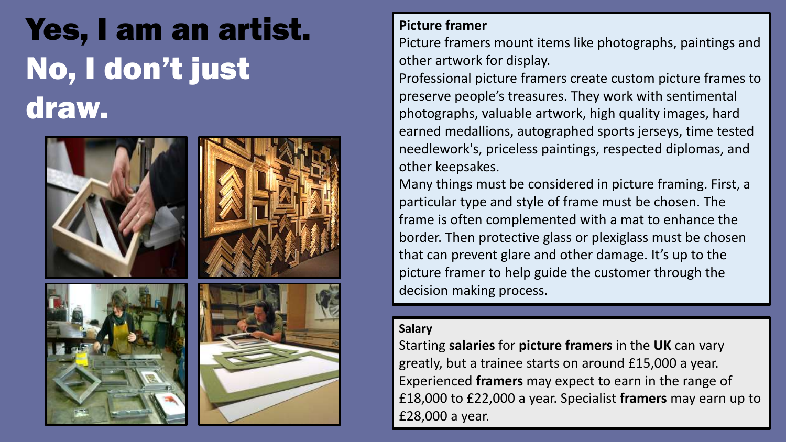

### **Picture framer**

Picture framers mount items like photographs, paintings and other artwork for display.

Professional picture framers create custom picture frames to preserve people's treasures. They work with sentimental photographs, valuable artwork, high quality images, hard earned medallions, autographed sports jerseys, time tested needlework's, priceless paintings, respected diplomas, and other keepsakes.

Many things must be considered in picture framing. First, a particular type and style of frame must be chosen. The frame is often complemented with a mat to enhance the border. Then protective glass or plexiglass must be chosen that can prevent glare and other damage. It's up to the picture framer to help guide the customer through the decision making process.

#### **Salary**

Starting **salaries** for **picture framers** in the **UK** can vary greatly, but a trainee starts on around £15,000 a year. Experienced **framers** may expect to earn in the range of £18,000 to £22,000 a year. Specialist **framers** may earn up to £28,000 a year.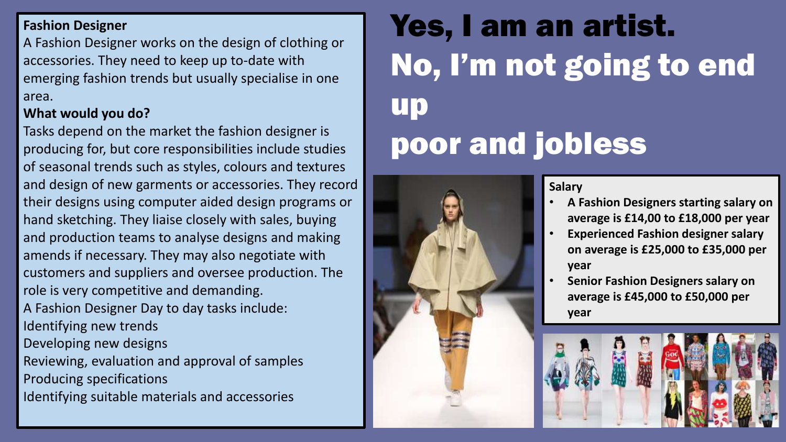### **Fashion Designer**

A Fashion Designer works on the design of clothing or accessories. They need to keep up to-date with emerging fashion trends but usually specialise in one area.

### **What would you do?**

Tasks depend on the market the fashion designer is producing for, but core responsibilities include studies of seasonal trends such as styles, colours and textures and design of new garments or accessories. They record their designs using computer aided design programs or hand sketching. They liaise closely with sales, buying and production teams to analyse designs and making amends if necessary. They may also negotiate with customers and suppliers and oversee production. The role is very competitive and demanding. A Fashion Designer Day to day tasks include: Identifying new trends Developing new designs Reviewing, evaluation and approval of samples Producing specifications Identifying suitable materials and accessories

# Yes, I am an artist. No, I'm not going to end up poor and jobless



#### **Salary**

- **A Fashion Designers starting salary on average is £14,00 to £18,000 per year**
- **Experienced Fashion designer salary on average is £25,000 to £35,000 per year**
- **Senior Fashion Designers salary on average is £45,000 to £50,000 per year**

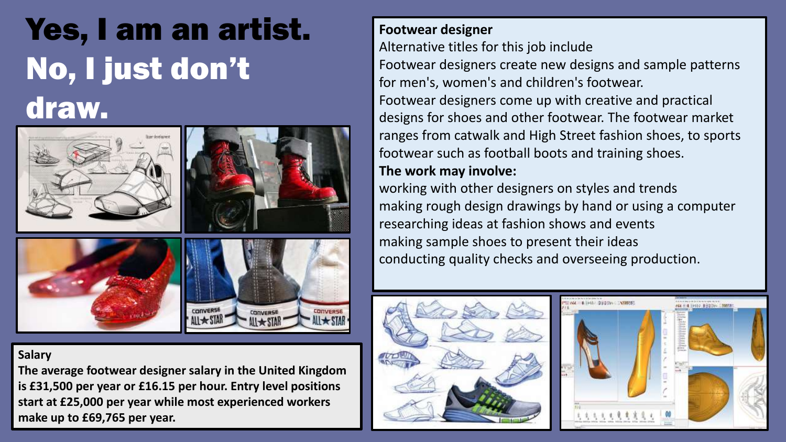### Yes, I am an artist. No, I just don't draw.



#### **Salary**

**The average footwear designer salary in the United Kingdom is £31,500 per year or £16.15 per hour. Entry level positions start at £25,000 per year while most experienced workers make up to £69,765 per year.** 

### **Footwear designer**

Alternative titles for this job include

Footwear designers create new designs and sample patterns for men's, women's and children's footwear.

Footwear designers come up with creative and practical designs for shoes and other footwear. The footwear market ranges from catwalk and High Street fashion shoes, to sports footwear such as football boots and training shoes. **The work may involve:**

working with other designers on styles and trends making rough design drawings by hand or using a computer researching ideas at fashion shows and events making sample shoes to present their ideas conducting quality checks and overseeing production.



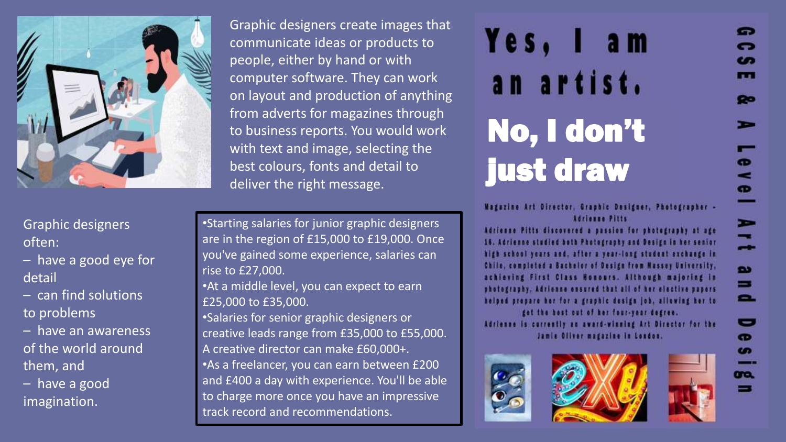

Graphic designers often:

– have a good eye for detail

– can find solutions to problems

– have an awareness of the world around them, and

– have a good imagination.

Graphic designers create images that communicate ideas or products to people, either by hand or with computer software. They can work on layout and production of anything from adverts for magazines through to business reports. You would work with text and image, selecting the best colours, fonts and detail to deliver the right message.

•Starting salaries for junior graphic designers are in the region of £15,000 to £19,000. Once you've gained some experience, salaries can rise to £27,000.

•At a middle level, you can expect to earn £25,000 to £35,000.

•Salaries for senior graphic designers or creative leads range from £35,000 to £55,000. A creative director can make £60,000+. •As a freelancer, you can earn between £200 and £400 a day with experience. You'll be able to charge more once you have an impressive track record and recommendations.

# Yes. an artist. No, I don't just draw

Magazine Art Director, Graphic Designer, Photographer -Adrienne Pitts

Adrienne Pitts discovered a passion for photography at age 16. Adrienne studied both Photography and Design in her senior high school years and, after a year-long student exchange in Chile, completed a Bachelor of Design from Massey University. achieving First Class Honours. Although majoring in photography, Adrienne ensured that all of her elective papers helped prepare her for a graphic design job, allowing her to get the best out of her four-year degree.

Adrienne is currently an award-winning Art Director for the Jamie Oliver magazine in London.







G

cm

m

 $\bullet$ 

 $\bullet$ 

 $\bullet$ 

 $\overline{\phantom{a}}$ 

**D** 

=

Ξ.

ᇹ

 $\bullet$  $\bullet$ 

ma.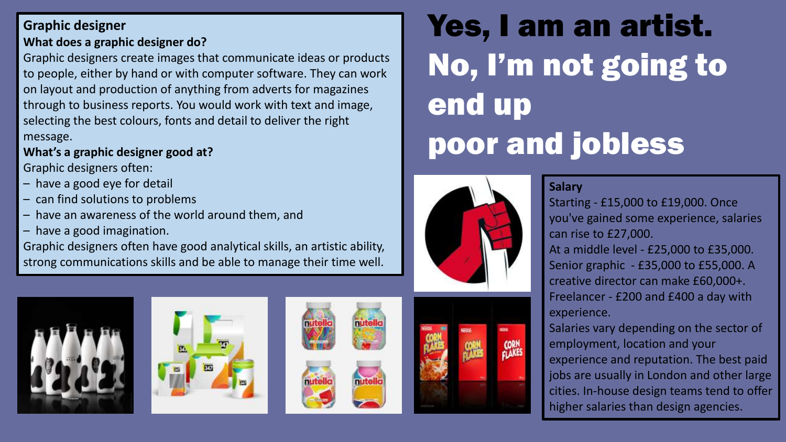### **Graphic designer What does a graphic designer do?**

Graphic designers create images that communicate ideas or products to people, either by hand or with computer software. They can work on layout and production of anything from adverts for magazines through to business reports. You would work with text and image, selecting the best colours, fonts and detail to deliver the right message.

### **What's a graphic designer good at?**

Graphic designers often:

- have a good eye for detail
- can find solutions to problems
- have an awareness of the world around them, and
- have a good imagination.

Graphic designers often have good analytical skills, an artistic ability, strong communications skills and be able to manage their time well.









# Yes, I am an artist. No, I'm not going to end up poor and jobless



#### **Salary**

Starting - £15,000 to £19,000. Once you've gained some experience, salaries can rise to £27,000.

At a middle level - £25,000 to £35,000. Senior graphic - £35,000 to £55,000. A creative director can make £60,000+. Freelancer - £200 and £400 a day with experience.

Salaries vary depending on the sector of employment, location and your experience and reputation. The best paid jobs are usually in London and other large cities. In-house design teams tend to offer higher salaries than design agencies.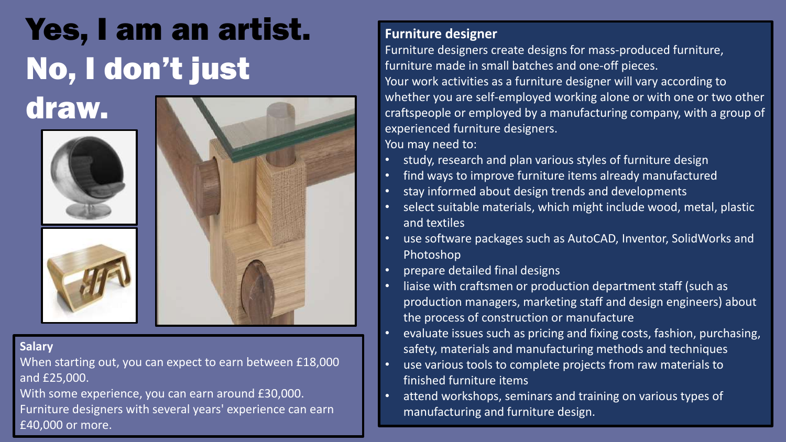

#### **Salary**

draw.

When starting out, you can expect to earn between £18,000 and £25,000.

With some experience, you can earn around £30,000. Furniture designers with several years' experience can earn £40,000 or more.

### **Furniture designer**

Furniture designers create designs for mass-produced furniture, furniture made in small batches and one-off pieces. Your work activities as a furniture designer will vary according to whether you are self-employed working alone or with one or two other craftspeople or employed by a manufacturing company, with a group of experienced furniture designers. You may need to:

- study, research and plan various styles of furniture design
- find ways to improve furniture items already manufactured
- stay informed about design trends and developments
- select suitable materials, which might include wood, metal, plastic and textiles
- use software packages such as AutoCAD, Inventor, SolidWorks and Photoshop
- prepare detailed final designs
- liaise with craftsmen or production department staff (such as production managers, marketing staff and design engineers) about the process of construction or manufacture
- evaluate issues such as pricing and fixing costs, fashion, purchasing, safety, materials and manufacturing methods and techniques
- use various tools to complete projects from raw materials to finished furniture items
- attend workshops, seminars and training on various types of manufacturing and furniture design.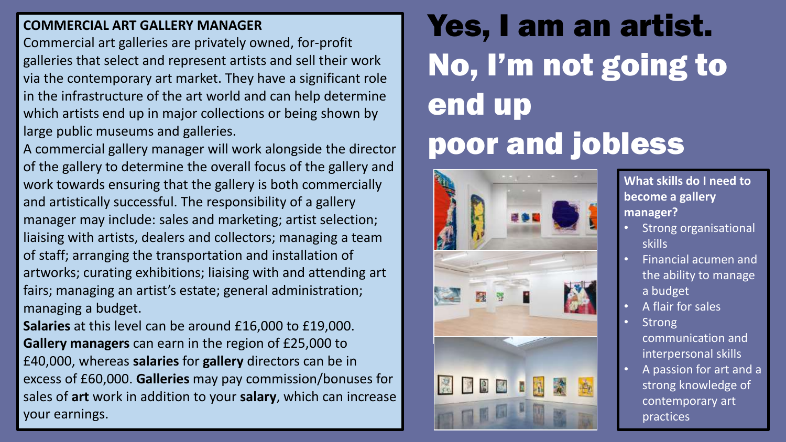### **COMMERCIAL ART GALLERY MANAGER**

Commercial art galleries are privately owned, for-profit galleries that select and represent artists and sell their work via the contemporary art market. They have a significant role in the infrastructure of the art world and can help determine which artists end up in major collections or being shown by large public museums and galleries.

A commercial gallery manager will work alongside the director of the gallery to determine the overall focus of the gallery and work towards ensuring that the gallery is both commercially and artistically successful. The responsibility of a gallery manager may include: sales and marketing; artist selection; liaising with artists, dealers and collectors; managing a team of staff; arranging the transportation and installation of artworks; curating exhibitions; liaising with and attending art fairs; managing an artist's estate; general administration; managing a budget.

**Salaries** at this level can be around £16,000 to £19,000. **Gallery managers** can earn in the region of £25,000 to £40,000, whereas **salaries** for **gallery** directors can be in excess of £60,000. **Galleries** may pay commission/bonuses for sales of **art** work in addition to your **salary**, which can increase your earnings.

# Yes, I am an artist. No, I'm not going to end up poor and jobless



**What skills do I need to become a gallery manager?**

- Strong organisational skills
- Financial acumen and the ability to manage a budget
- A flair for sales
- Strong communication and interpersonal skills
- A passion for art and a strong knowledge of contemporary art practices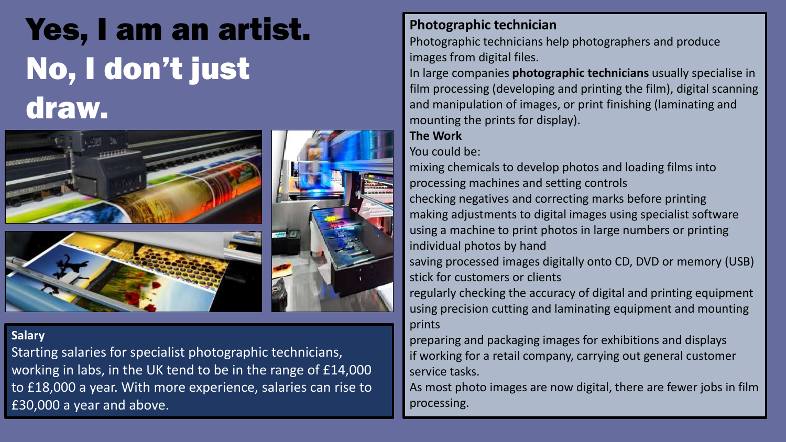

#### **Salary**

Starting salaries for specialist photographic technicians, working in labs, in the UK tend to be in the range of £14,000 to £18,000 a year. With more experience, salaries can rise to £30,000 a year and above.

### **Photographic technician**

Photographic technicians help photographers and produce images from digital files.

In large companies **photographic technicians** usually specialise in film processing (developing and printing the film), digital scanning and manipulation of images, or print finishing (laminating and mounting the prints for display).

### **The Work**

You could be:

mixing chemicals to develop photos and loading films into processing machines and setting controls checking negatives and correcting marks before printing making adjustments to digital images using specialist software using a machine to print photos in large numbers or printing individual photos by hand saving processed images digitally onto CD, DVD or memory (USB) stick for customers or clients regularly checking the accuracy of digital and printing equipment using precision cutting and laminating equipment and mounting prints

preparing and packaging images for exhibitions and displays if working for a retail company, carrying out general customer service tasks.

As most photo images are now digital, there are fewer jobs in film processing.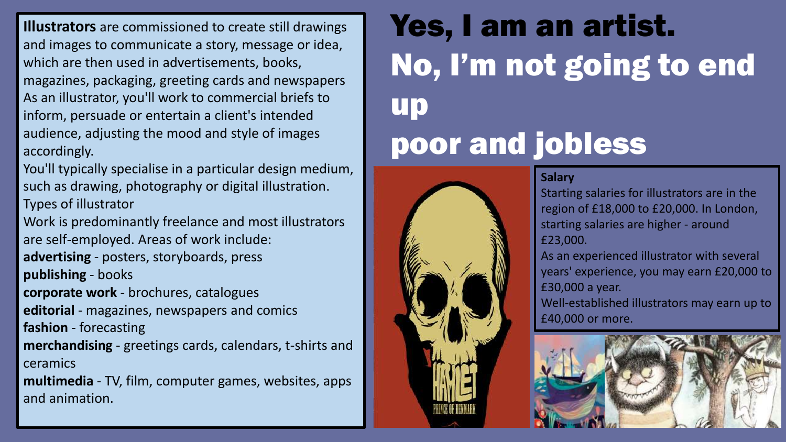**Illustrators** are commissioned to create still drawings and images to communicate a story, message or idea, which are then used in advertisements, books, magazines, packaging, greeting cards and newspapers As an illustrator, you'll work to commercial briefs to inform, persuade or entertain a client's intended audience, adjusting the mood and style of images accordingly.

You'll typically specialise in a particular design medium, such as drawing, photography or digital illustration. Types of illustrator

Work is predominantly freelance and most illustrators are self-employed. Areas of work include:

**advertising** - posters, storyboards, press

**publishing** - books

**corporate work** - brochures, catalogues

**editorial** - magazines, newspapers and comics **fashion** - forecasting

**merchandising** - greetings cards, calendars, t-shirts and ceramics

**multimedia** - TV, film, computer games, websites, apps and animation.

### Yes, I am an artist. No, I'm not going to end up poor and jobless

#### **Salary**

Starting salaries for illustrators are in the region of £18,000 to £20,000. In London, starting salaries are higher - around £23,000.

As an experienced illustrator with several years' experience, you may earn £20,000 to £30,000 a year.

Well-established illustrators may earn up to £40,000 or more.

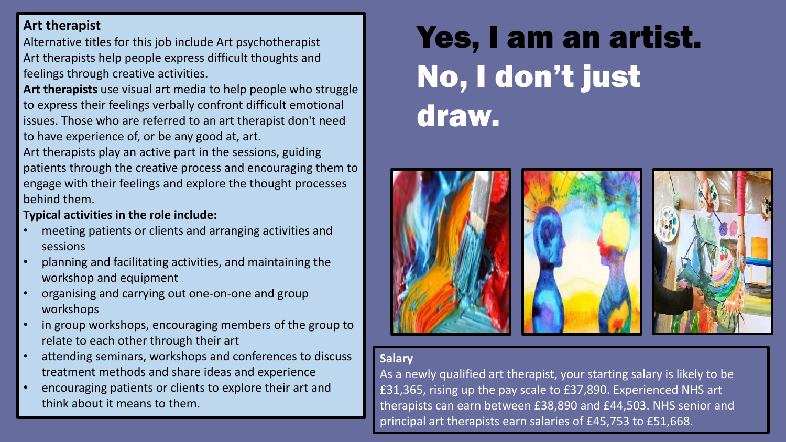### **Art therapist**

Alternative titles for this job include Art psychotherapist Art therapists help people express difficult thoughts and feelings through creative activities.

**Art therapists** use visual art media to help people who struggle to express their feelings verbally confront difficult emotional issues. Those who are referred to an art therapist don't need to have experience of, or be any good at, art.

Art therapists play an active part in the sessions, guiding patients through the creative process and encouraging them to engage with their feelings and explore the thought processes behind them.

#### **Typical activities in the role include:**

- meeting patients or clients and arranging activities and sessions
- planning and facilitating activities, and maintaining the workshop and equipment
- organising and carrying out one-on-one and group workshops
- in group workshops, encouraging members of the group to relate to each other through their art
- attending seminars, workshops and conferences to discuss treatment methods and share ideas and experience
- encouraging patients or clients to explore their art and think about it means to them.

# Yes, I am an artist. No, I don't just draw.



#### **Salary**

As a newly qualified art therapist, your starting salary is likely to be £31,365, rising up the pay scale to £37,890. Experienced NHS art therapists can earn between £38,890 and £44,503. NHS senior and principal art therapists earn salaries of £45,753 to £51,668.